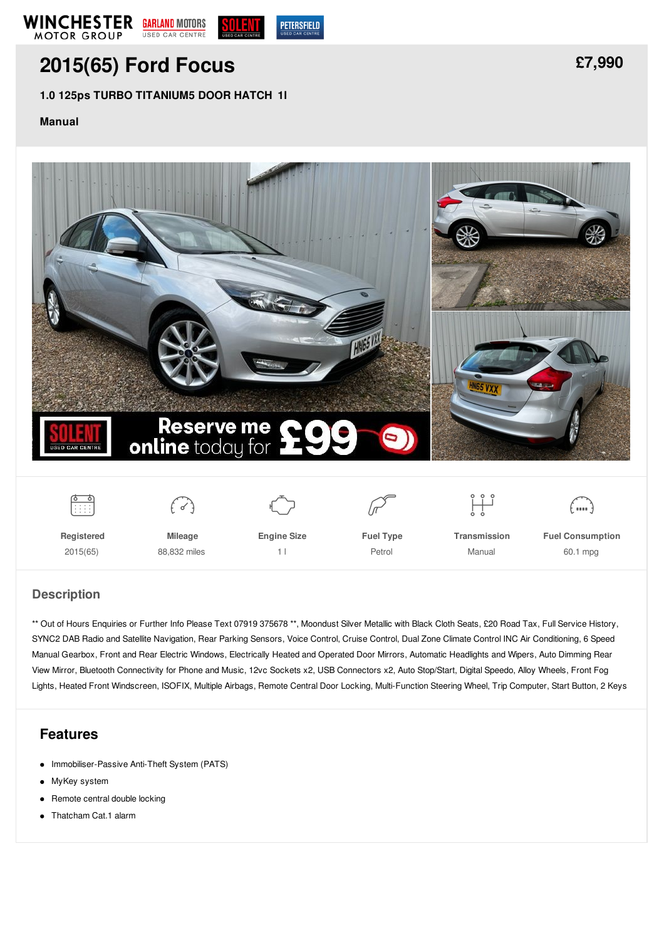

# **[2015\(65\)](/used-cars/pdf/) Ford Focus**

### **1.0 125ps TURBO TITANIUM5 DOOR HATCH 1l**

#### **Manual**





#### **Description**

\*\* Out of Hours Enquiries or Further Info Please Text 07919 375678 \*\*, Moondust Silver Metallic with Black Cloth Seats, £20 Road Tax, Full Service History, SYNC2 DAB Radio and Satellite Navigation, Rear Parking Sensors, Voice Control, Cruise Control, Dual Zone Climate Control INC Air Conditioning, 6 Speed Manual Gearbox, Front and Rear Electric Windows, Electrically Heated and Operated Door Mirrors, Automatic Headlights and Wipers, Auto Dimming Rear View Mirror, Bluetooth Connectivity for Phone and Music, 12vc Sockets x2, USB Connectors x2, Auto Stop/Start, Digital Speedo, Alloy Wheels, Front Fog Lights, Heated Front Windscreen, ISOFIX, Multiple Airbags, Remote Central Door Locking, Multi-Function Steering Wheel, Trip Computer, Start Button, 2 Keys

## **Features**

- Immobiliser-Passive Anti-Theft System (PATS)
- MyKey system
- Remote central double locking  $\bullet$
- Thatcham Cat.1 alarm  $\bullet$

**[£7,990](/used-cars/pdf/)**